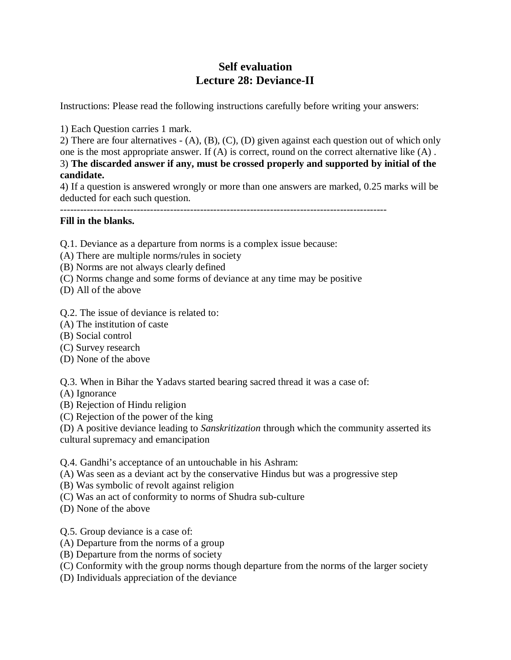# **Self evaluation Lecture 28: Deviance-II**

Instructions: Please read the following instructions carefully before writing your answers:

1) Each Question carries 1 mark.

2) There are four alternatives - (A), (B), (C), (D) given against each question out of which only one is the most appropriate answer. If (A) is correct, round on the correct alternative like (A) . 3) **The discarded answer if any, must be crossed properly and supported by initial of the candidate.**

4) If a question is answered wrongly or more than one answers are marked, 0.25 marks will be deducted for each such question.

--------------------------------------------------------------------------------------------------

# **Fill in the blanks.**

Q.1. Deviance as a departure from norms is a complex issue because:

- (A) There are multiple norms/rules in society
- (B) Norms are not always clearly defined
- (C) Norms change and some forms of deviance at any time may be positive
- (D) All of the above
- Q.2. The issue of deviance is related to:
- (A) The institution of caste
- (B) Social control
- (C) Survey research
- (D) None of the above

Q.3. When in Bihar the Yadavs started bearing sacred thread it was a case of:

- (A) Ignorance
- (B) Rejection of Hindu religion
- (C) Rejection of the power of the king

(D) A positive deviance leading to *Sanskritization* through which the community asserted its

cultural supremacy and emancipation

Q.4. Gandhi's acceptance of an untouchable in his Ashram:

- (A) Was seen as a deviant act by the conservative Hindus but was a progressive step
- (B) Was symbolic of revolt against religion
- (C) Was an act of conformity to norms of Shudra sub-culture
- (D) None of the above

Q.5. Group deviance is a case of:

- (A) Departure from the norms of a group
- (B) Departure from the norms of society
- (C) Conformity with the group norms though departure from the norms of the larger society
- (D) Individuals appreciation of the deviance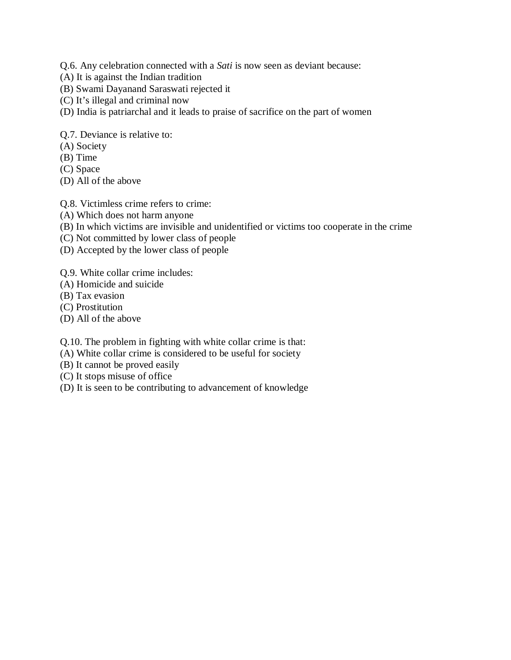Q.6. Any celebration connected with a *Sati* is now seen as deviant because:

- (A) It is against the Indian tradition
- (B) Swami Dayanand Saraswati rejected it
- (C) It's illegal and criminal now
- (D) India is patriarchal and it leads to praise of sacrifice on the part of women

## Q.7. Deviance is relative to:

- (A) Society
- (B) Time
- (C) Space
- (D) All of the above

### Q.8. Victimless crime refers to crime:

- (A) Which does not harm anyone
- (B) In which victims are invisible and unidentified or victims too cooperate in the crime
- (C) Not committed by lower class of people
- (D) Accepted by the lower class of people
- Q.9. White collar crime includes:
- (A) Homicide and suicide
- (B) Tax evasion
- (C) Prostitution
- (D) All of the above

Q.10. The problem in fighting with white collar crime is that:

- (A) White collar crime is considered to be useful for society
- (B) It cannot be proved easily
- (C) It stops misuse of office
- (D) It is seen to be contributing to advancement of knowledge